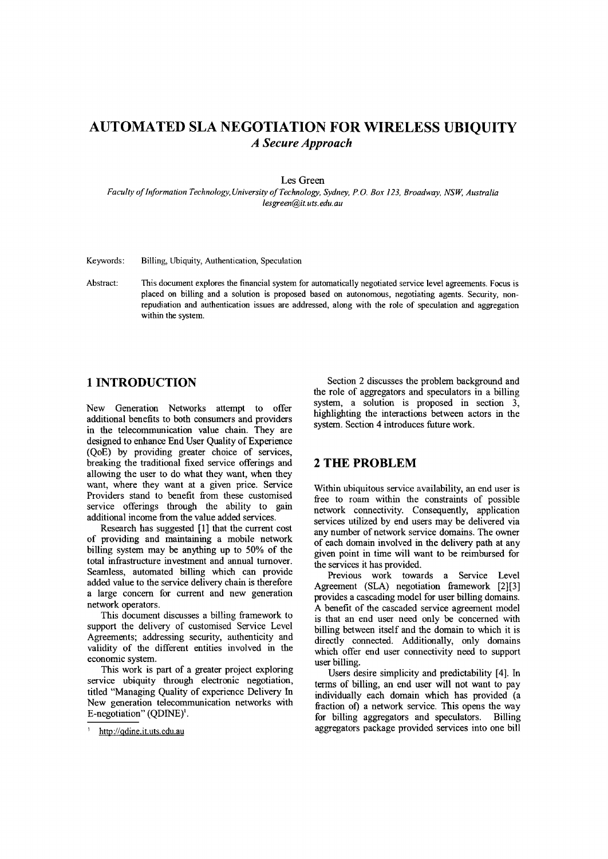# **AUTOMATED SLA NEGOTIATION FOR WIRELESS UBIQUITY** *A Secure Approach*

#### Les Green

*Faculty of Information Technology, University of Technology, Sydney, P.O. Box 123. Broadway, NSW, Australia [lesgreen@it.uts.edu.au](mailto:lesgreen@it.uts.edu.au)*

Keywords: Billing, Ubiquity, Authentication, Speculation

Abstract: This document explores the financial system for automatically negotiated service level agreements. Focus is placed on billing and a solution is proposed based on autonomous, negotiating agents. Security, nonrepudiation and authentication issues are addressed, along with the role of speculation and aggregation within the system.

## **1 INTRODUCTION**

New Generation Networks attempt to offer additional benefits to both consumers and providers in the telecommunication value chain. They are designed to enhance End User Quality of Experience (QoE) by providing greater choice of services, breaking the traditional fixed service offerings and allowing the user to do what they want, when they want, where they want at a given price. Service Providers stand to benefit from these customised service offerings through the ability to gain additional income from the value added services.

Research has suggested [I] that the current cost of providing and maintaining a mobile network billing system may be anything up to 50% of the total infrastructure investment and annual turnover. Seamless, automated billing which can provide added value to the service delivery chain is therefore a large concern for current and new generation network operators.

This document discusses a billing framework to support the delivery of customised Service Level Agreements; addressing security, authenticity and validity of the different entities involved in the economic system.

This work is part of a greater project exploring service ubiquity through electronic negotiation, titled "Managing Quality of experience Delivery In New generation telecommunication networks with E-negotiation" (QDINE)<sup>1</sup>.

Section 2 discusses the problem background and the role of aggregators and speculators in a billing system, a solution is proposed in section  $\frac{3}{2}$ , highlighting the interactions between actors in the system. Section 4 introduces future work.

## **2 THE PROBLEM**

Within ubiquitous service availability, an end user is free to roam within the constraints of possible network connectivity. Consequently, application services utilized by end users may be delivered via any number of network service domains. The owner of each domain involved in the delivery path at any given point in time will want to be reimbursed for the services it has provided.

Previous work towards a Service Level Agreement (SLA) negotiation framework [2][3] provides a cascading model for user billing domains. A benefit of the cascaded service agreement model is that an end user need only be concerned with billing between itself and the domain to which it is directly connected. Additionally, only domains which offer end user connectivity need to support user billing.

Users desire simplicity and predictability [4]. In terms of billing, an end user will not want to pay individually each domain which has provided (a fraction of) a network service. This opens the way for billing aggregators and speculators. Billing aggregators package provided services into one bill

http://qdine.it.uts.edu.au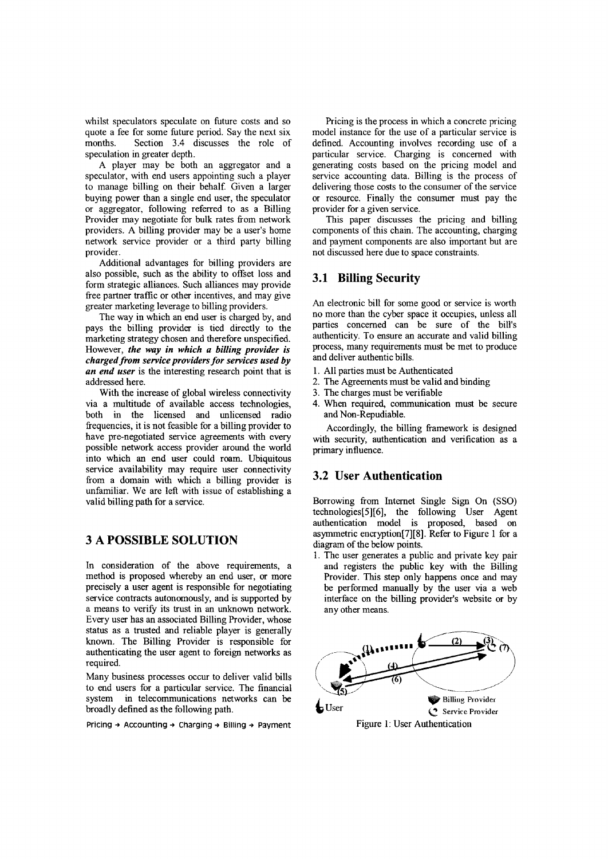whilst speculators speculate on future costs and so quote a fee for some future period. Say the next six months. Section 3.4 discusses the role of speculation in greater depth.

A player may be both an aggregator and a speculator, with end users appointing such a player to manage billing on their behalf. Given a larger buying power than a single end user, the speculator or aggregator, following referred to as a Billing Provider may negotiate for bulk rates from network providers. A billing provider may be a user's home network service provider or a third party billing provider.

Additional advantages for billing providers are also possible, such as the ability to offset loss and form strategic alliances. Such alliances may provide free partner traffic or other incentives, and may give greater marketing leverage to billing providers.

The way in which an end user is charged by, and pays the billing provider is tied directly to the marketing strategy chosen and therefore unspecified. However, *the way in which a billing provider is charged from service providers for services used by an end user* is the interesting research point that is addressed here.

With the increase of global wireless connectivity via a multitude of available access technologies, both in the licensed and unlicensed radio frequencies, it is not feasible for a billing provider to have pre-negotiated service agreements with every possible network access provider around the world into which an end user could roam. Ubiquitous service availability may require user connectivity from a domain with which a billing provider is unfamiliar. We are left with issue of establishing a valid billing path for a service.

### **3 A POSSIBLE SOLUTION**

In consideration of the above requirements, a method is proposed whereby an end user, or more precisely a user agent is responsible for negotiating service contracts autonomously, and is supported by a means to verify its trust in an unknown network. Every user has an associated Billing Provider, whose status as a trusted and reliable player is generally known. The Billing Provider is responsible for authenticating the user agent to foreign networks as required.

Many business processes occur to deliver valid bills to end users for a particular service. The financial system in telecommunications networks can be broadly defined as the following path.

Pricing  $\rightarrow$  Accounting  $\rightarrow$  Charging  $\rightarrow$  Billing  $\rightarrow$  Payment

Pricing is the process in which a concrete pricing model instance for the use of a particular service is defined. Accounting involves recording use of a particular service. Charging is concerned with generating costs based on the pricing model and service accounting data. Billing is the process of delivering those costs to the consumer of the service or resource. Finally the consumer must pay the provider for a given service.

This paper discusses the pricing and billing components of this chain. The accounting, charging and payment components are also important but are not discussed here due to space constraints.

### 3.1 Billing Security

An electronic bill for some good or service is worth no more than the cyber space it occupies, unless all parties concerned can be sure of the bill's authenticity. To ensure an accurate and valid billing process, many requirements must be met to produce and deliver authentic bills.

- 1. All parties must be Authenticated
- 2. The Agreements must be valid and binding
- 3. The charges must be verifiable
- 4. When required. communication must be secure and Non-Repudiable,

Accordingly, the billing framework is designed with security, authentication and verification as a primary influence.

#### 3.2 User Authentication

Borrowing from Internet Single Sign On (SSO) technologies[5][6], the following User Agent authentication model is proposed. based on asymmetric encryption[7][8]. Refer to Figure 1 for a diagram of the below points.

1. The user generates a public and private key pair and registers the public key with the Billing Provider. This step only happens once and may be performed manually by the user via a web interface on the billing provider's website or by any other means.

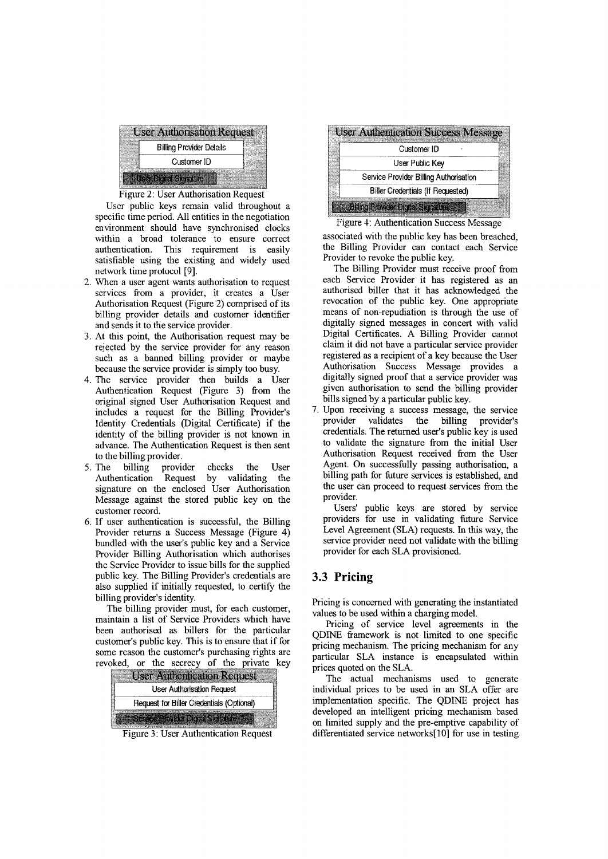

#### Figure 2: User Authorisation Request

User public keys remain valid throughout a specific time period. All entities in the negotiation environment should have synchronised clocks within a broad tolerance to ensure correct authentication. This requirement is easily satisfiable using the existing and widely used network time protocol [9].

- 2. When a user agent wants authorisation to request services from a provider, it creates a User Authorisation Request (Figure 2) comprised of its billing provider details and customer identifier and sends it to the service provider.
- 3. At this point, the Authorisation request may be rejected by the service provider for any reason such as a banned billing provider or maybe because the service provider is simply too busy.
- 4. The service provider then builds a User Authentication Request (Figure 3) from the original signed User Authorisation Request and includes a request for the Billing Provider's Identity Credentials (Digital Certificate) if the identity of the billing provider is not known in advance. The Authentication Request is then sent to the billing provider.
- 5. The billing provider checks the User Authentication Request by validating the signature on the enclosed User Authorisation Message against the stored public key on the customer record.
- 6. If user authentication is successful, the Billing Provider returns a Success Message (Figure 4) bundled with the user's public key and a Service Provider Billing Authorisation which authorises the Service Provider to issue bills for the supplied public key. The Billing Provider's credentials are also supplied if initially requested, to certify the billing provider's identity.

The billing provider must, for each customer, maintain a list of Service Providers which have been authorised as billers for the particular customer's public key. This is to ensure that if for some reason the customer's purchasing rights are revoked, or the secrecy of the private key



Figure 3: User Authentication Request

| <b>User Authentication Success Message</b> |
|--------------------------------------------|
| Customer ID                                |
| User Public Key                            |
| Service Provider Billing Authorisation     |
| Biller Credentials (If Requested)          |
| <b>Billing Provider Digital Signature</b>  |

Figure 4: Authentication Success Message

associated with the public key has been breached, the Billing Provider can contact each Service Provider to revoke the public key.

- The Billing Provider must receive proof from each Service Provider it has registered as an authorised biller that it has acknowledged the revocation of the public key. One appropriate means of non-repudiation is through the use of digitally signed messages in concert with valid Digital Certificates. A Billing Provider cannot claim it did not have a particular service provider registered as a recipient of a key because the User Authorisation Success Message provides a digitally signed proof that a service provider was given authorisation to send the billing provider bills signed by a particular public key.
- 7. Upon receiving a success message, the service provider validates the billing provider's credentials. The returned user's public key is used to validate the signature from the initial User Authorisation Request received from the User Agent. On successfully passing authorisation, a billing path for future services is established, and the user can proceed to request services from the provider.

Users' public keys are stored by service providers for use in validating future Service Level Agreement (SLA) requests. In this way, the service provider need not validate with the billing provider for each SLA provisioned.

## **3.3 Pricing**

Pricing is concerned with generating the instantiated values to be used within a charging model.

Pricing of service level agreements in the QDINE framework is not limited to one specific pricing mechanism. The pricing mechanism for any particular SLA instance is encapsulated within prices quoted on the SLA.

The actual mechanisms used to generate individual prices to be used in an SLA offer are implementation specific. The QDINE project has developed an intelligent pricing mechanism based on limited supply and the pre-emptive capability of differentiated service networks[lO] for use in testing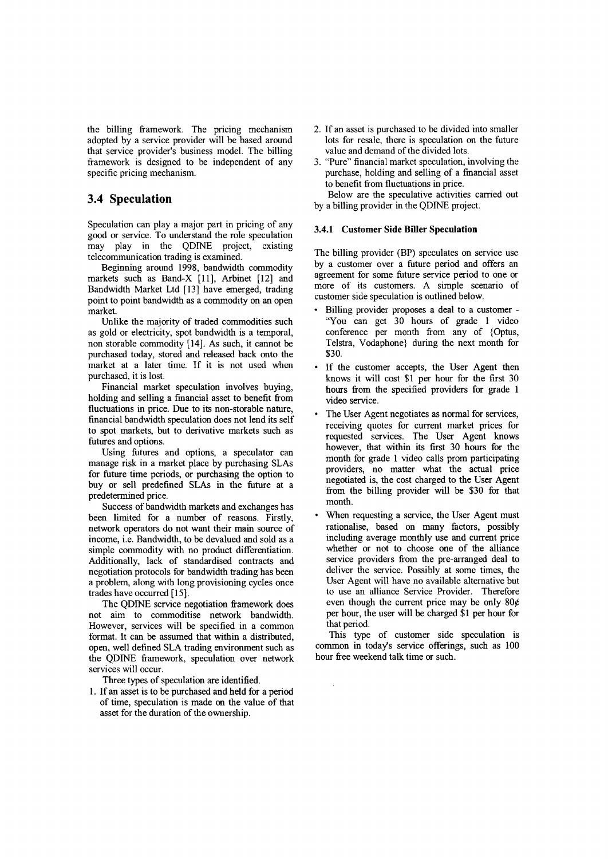the billing framework. The pricing mechanism adopted by a service provider will be based around that service provider's business model. The billing framework is designed to be independent of any specific pricing mechanism.

### **3.4 Speculation**

Speculation can play a major part in pricing of any good or service. To understand the role speculation may play in the QDINE project, existing telecommunication trading is examined.

Beginning around 1998, bandwidth commodity markets such as Band-X [11], Arbinet [12] and Bandwidth Market Ltd [13] have emerged, trading point to point bandwidth as a commodity on an open market.

Unlike the majority of traded commodities such as gold or electricity, spot bandwidth is a temporal, non storable commodity [14]. As such, it cannot be purchased today, stored and released back onto the market at a later time. If it is not used when purchased, it is lost.

Financial market speculation involves buying, holding and selling a fmancial asset to benefit from fluctuations in price. Due to its non-storable nature, financial bandwidth speculation does not lend its self to spot markets, but to derivative markets such as futures and options.

Using futures and options, a speculator can manage risk in a market place by purchasing SLAs for future time periods, or purchasing the option to buy or sell predefined SLAs in the future at a predetermined price.

Success of bandwidth markets and exchanges has been limited for a number of reasons. Firstly, network operators do not want their main source of income, i.e. Bandwidth, to be devalued and sold as a simple commodity with no product differentiation. Additionally, lack of standardised contracts and negotiation protocols for bandwidth trading has been a problem, along with long provisioning cycles once trades have occurred [15].

The QDINE service negotiation framework does not aim to commoditise network bandwidth. However, services will be specified in a common format. It can be assumed that within a distributed, open, well defined SLA trading environment such as the QDINE framework, speculation over network services will occur.

Three types of speculation are identified.

1. If an asset is to be purchased and held for a period of time, speculation is made on the value of that asset for the duration of the ownership.

- 2. If an asset is purchased to be divided into smaller lots for resale, there is speculation on the future value and demand of the divided lots.
- 3. "Pure" financial market speculation, involving the purchase, holding and selling of a fmancial asset to benefit from fluctuations in price. Below are the speculative activities carried out

by a billing provider in the QDINE project.

#### **3.4.1 Customer Side Biller Speculation**

The billing provider (BP) speculates on service use by a customer over a future period and offers an agreement for some future service period to one or more of its customers. A simple scenario of customer side speculation is outlined below.

- Billing provider proposes a deal to a customer "You can get 30 hours of grade 1 video conference per month from any of {Optus, Telstra, Vodaphone} during the next month for \$30.
- If the customer accepts, the User Agent then knows it will cost \$1 per hour for the first 30 hours from the specified providers for grade 1 video service.
- The User Agent negotiates as normal for services, receiving quotes for current market prices for requested services. The User Agent knows however, that within its first 30 hours for the month for grade 1 video calls prom participating providers, no matter what the actual price negotiated is, the cost charged to the User Agent from the billing provider will be \$30 for that month.
- When requesting a service, the User Agent must rationalise, based on many factors, possibly including average monthly use and current price whether or not to choose one of the alliance service providers from the pre-arranged deal to deliver the service. Possibly at some times, the User Agent will have no available alternative but to use an alliance Service Provider. Therefore even though the current price may be only  $80¢$ per hour, the user will be charged \$1 per hour for that period.

This type of customer side speculation is common in today's service offerings, such as 100 hour free weekend talk time or such.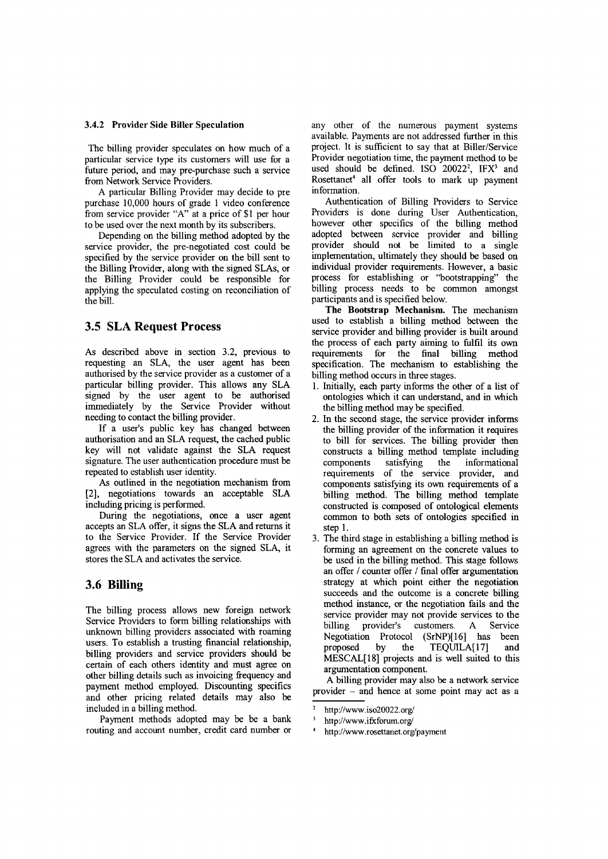#### 3.4.2 Provider Side Biller Speculation

The billing provider speculates on how much of a particular service type its customers will use for a future period, and may pre-purchase such a service from Network Service Providers.

A particular Billing Provider may decide to pre purchase 10,000 hours of grade 1 video conference from service provider "A" at a price of \$1 per hour to be used over the next month by its subscribers.

Depending on the billing method adopted by the service provider, the pre-negotiated cost could be specified by the service provider on the bill sent to the Billing Provider, along with the signed SLAs, or the Billing Provider could be responsible for applying the speculated costing on reconciliation of the bill.

## 3.5 SLA Request Process

As described above in section 3.2, previous to requesting an SLA, the user agent has been authorised by the service provider as a customer of a particular billing provider. This allows any SLA signed by the user agent to be authorised immediately by the Service Provider without needing to contact the billing provider.

If a user's public key has changed between authorisation and an SLA request, the cached public key will not validate against the SLA request signature. The user authentication procedure must be repeated to establish user identity.

As outlined in the negotiation mechanism from [2], negotiations towards an acceptable SLA including pricing is performed.

During the negotiations, once a user agent accepts an SLA offer, it signs the SLA and returns it to the Service Provider. If the Service Provider agrees with the parameters on the signed SLA, it stores the SLA and activates the service.

## 3.6 **Billing**

The billing process allows new foreign network Service Providers to form billing relationships with unknown billing providers associated with roaming users. To establish a trusting financial relationship, billing providers and service providers should be certain of each others identity and must agree on other billing details such as invoicing frequency and payment method employed. Discounting specifics and other pricing related details may also be included in a billing method.

Payment methods adopted may be be a bank routing and account number, credit card number or

any other of the numerous payment systems available. Payments are not addressed further in this project. It is sufficient to say that at Biller/Service Provider negotiation time, the payment method to be used should be defined. ISO  $20022^2$ , IFX<sup>3</sup> and Rosettaner' all offer tools to mark up payment information.

Authentication of Billing Providers to Service Providers is done during User Authentication however other specifics of the billing method adopted between service provider and billing provider should not be limited to a single implementation, ultimately they should be based on individual provider requirements. However, a basic process for establishing or "bootstrapping" the billing process needs to be common amongst participants and is specified below.

The Bootstrap Mechanism. The mechanism used to establish a billing method between the service provider and billing provider is built around the process of each party aiming to fulfil its own requirements for the final billing method specification. The mechanism to establishing the billing method occurs in three stages.

- 1. Initially, each party informs the other of a list of ontologies which it can understand, and in which the billing method may be specified.
- 2. In the second stage, the service provider informs the billing provider of the information it requires to bill for services. The billing provider then constructs a billing method template including<br>components satisfying the informational components satisfying the informational requirements of the service provider, and components satisfying its own requirements of a billing method. The billing method template constructed is composed of ontological elements common to both sets of ontologies specified in step 1.
- 3. The third stage in establishing a billing method is forming an agreement on the concrete values to be used in the billing method. This stage follows an offer / counter offer / fmal offer argumentation strategy at which point either the negotiation succeeds and the outcome is a concrete billing method instance, or the negotiation fails and the service provider may not provide services to the<br>billing provider's customers. A Service provider's customers. A Service Negotiation Protocol (SrNP)[l6] has been proposed by the TEQUILA[l7] and MESCAL[18] projects and is well suited to this argumentation component.

A billing provider may also be a network service provider - and hence at some point may act as a

http://www.iso20022.org/

http://www.ifxforum.org/

http://www.rosettanet.org/payment